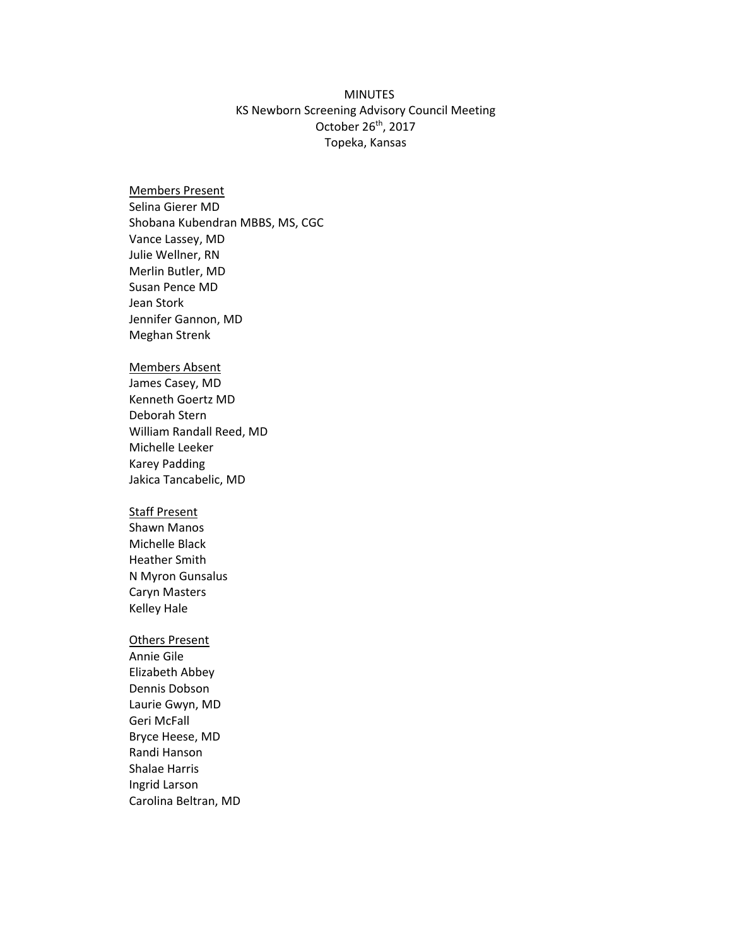## MINUTES KS Newborn Screening Advisory Council Meeting October 26<sup>th</sup>, 2017 Topeka, Kansas

Members Present Selina Gierer MD Shobana Kubendran MBBS, MS, CGC Vance Lassey, MD Julie Wellner, RN Merlin Butler, MD Susan Pence MD Jean Stork Jennifer Gannon, MD Meghan Strenk

## Members Absent

James Casey, MD Kenneth Goertz MD Deborah Stern William Randall Reed, MD Michelle Leeker Karey Padding Jakica Tancabelic, MD

## Staff Present

Shawn Manos Michelle Black Heather Smith N Myron Gunsalus Caryn Masters Kelley Hale

## Others Present

Annie Gile Elizabeth Abbey Dennis Dobson Laurie Gwyn, MD Geri McFall Bryce Heese, MD Randi Hanson Shalae Harris Ingrid Larson Carolina Beltran, MD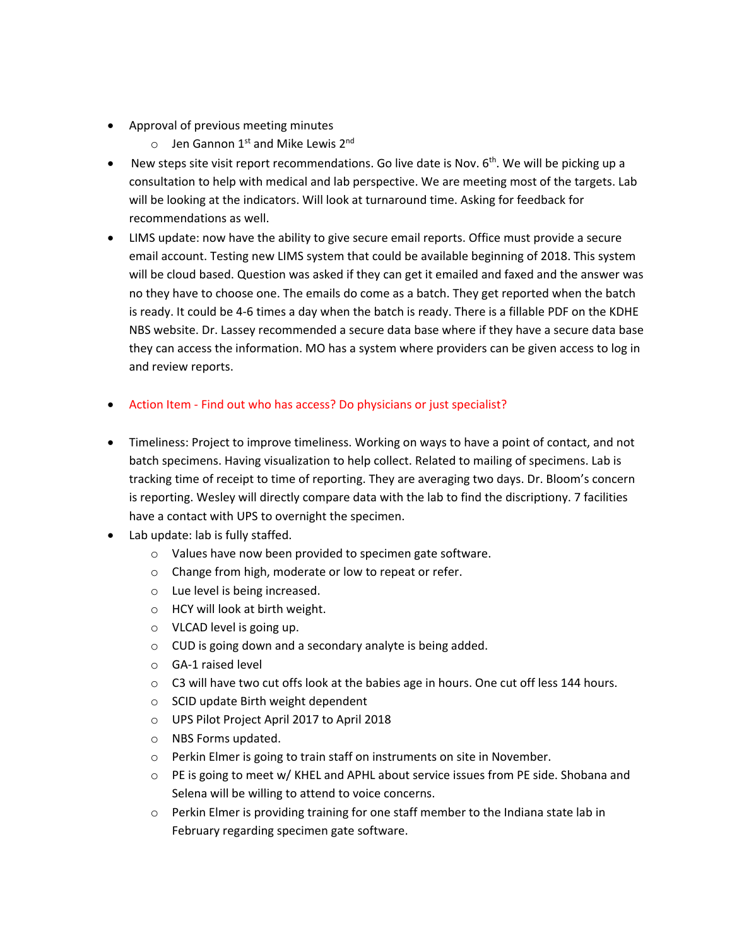- Approval of previous meeting minutes
	- $\circ$  Jen Gannon 1<sup>st</sup> and Mike Lewis 2<sup>nd</sup>
- New steps site visit report recommendations. Go live date is Nov.  $6<sup>th</sup>$ . We will be picking up a consultation to help with medical and lab perspective. We are meeting most of the targets. Lab will be looking at the indicators. Will look at turnaround time. Asking for feedback for recommendations as well.
- LIMS update: now have the ability to give secure email reports. Office must provide a secure email account. Testing new LIMS system that could be available beginning of 2018. This system will be cloud based. Question was asked if they can get it emailed and faxed and the answer was no they have to choose one. The emails do come as a batch. They get reported when the batch is ready. It could be 4-6 times a day when the batch is ready. There is a fillable PDF on the KDHE NBS website. Dr. Lassey recommended a secure data base where if they have a secure data base they can access the information. MO has a system where providers can be given access to log in and review reports.
- Action Item Find out who has access? Do physicians or just specialist?
- Timeliness: Project to improve timeliness. Working on ways to have a point of contact, and not batch specimens. Having visualization to help collect. Related to mailing of specimens. Lab is tracking time of receipt to time of reporting. They are averaging two days. Dr. Bloom's concern is reporting. Wesley will directly compare data with the lab to find the discriptiony. 7 facilities have a contact with UPS to overnight the specimen.
- Lab update: lab is fully staffed.
	- o Values have now been provided to specimen gate software.
	- o Change from high, moderate or low to repeat or refer.
	- o Lue level is being increased.
	- o HCY will look at birth weight.
	- o VLCAD level is going up.
	- o CUD is going down and a secondary analyte is being added.
	- o GA-1 raised level
	- o C3 will have two cut offs look at the babies age in hours. One cut off less 144 hours.
	- o SCID update Birth weight dependent
	- o UPS Pilot Project April 2017 to April 2018
	- o NBS Forms updated.
	- o Perkin Elmer is going to train staff on instruments on site in November.
	- o PE is going to meet w/ KHEL and APHL about service issues from PE side. Shobana and Selena will be willing to attend to voice concerns.
	- o Perkin Elmer is providing training for one staff member to the Indiana state lab in February regarding specimen gate software.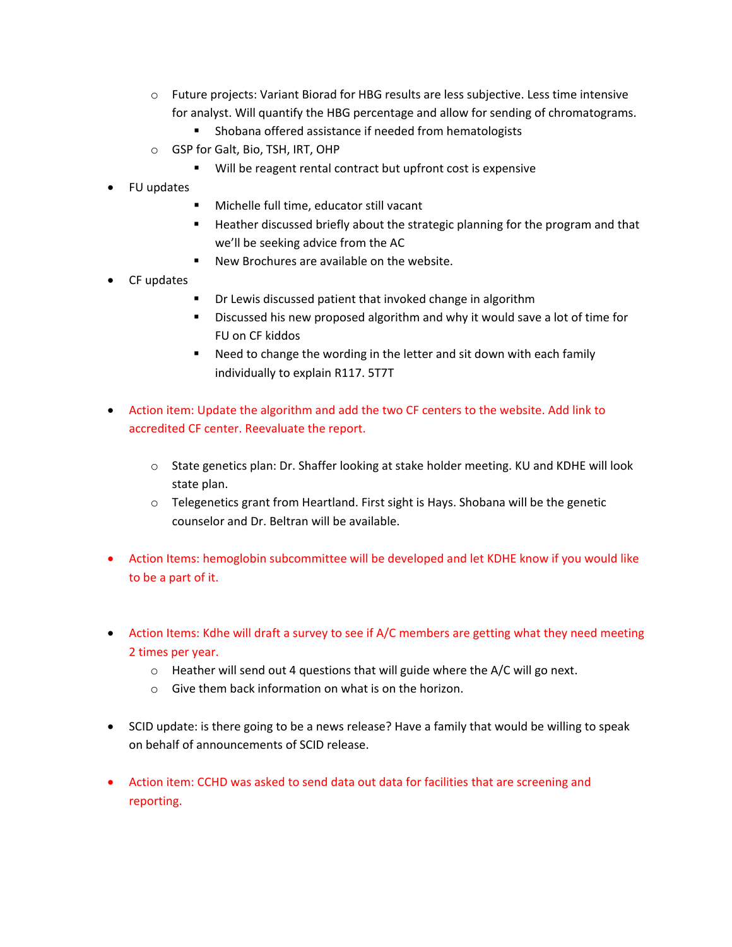- o Future projects: Variant Biorad for HBG results are less subjective. Less time intensive for analyst. Will quantify the HBG percentage and allow for sending of chromatograms.
	- Shobana offered assistance if needed from hematologists
- o GSP for Galt, Bio, TSH, IRT, OHP
	- Will be reagent rental contract but upfront cost is expensive
- FU updates
	- **Michelle full time, educator still vacant**
	- **Heather discussed briefly about the strategic planning for the program and that** we'll be seeking advice from the AC
	- New Brochures are available on the website.
- CF updates
	- Dr Lewis discussed patient that invoked change in algorithm
	- **Discussed his new proposed algorithm and why it would save a lot of time for** FU on CF kiddos
	- Need to change the wording in the letter and sit down with each family individually to explain R117. 5T7T
- Action item: Update the algorithm and add the two CF centers to the website. Add link to accredited CF center. Reevaluate the report.
	- o State genetics plan: Dr. Shaffer looking at stake holder meeting. KU and KDHE will look state plan.
	- o Telegenetics grant from Heartland. First sight is Hays. Shobana will be the genetic counselor and Dr. Beltran will be available.
- Action Items: hemoglobin subcommittee will be developed and let KDHE know if you would like to be a part of it.
- Action Items: Kdhe will draft a survey to see if A/C members are getting what they need meeting 2 times per year.
	- o Heather will send out 4 questions that will guide where the A/C will go next.
	- o Give them back information on what is on the horizon.
- SCID update: is there going to be a news release? Have a family that would be willing to speak on behalf of announcements of SCID release.
- Action item: CCHD was asked to send data out data for facilities that are screening and reporting.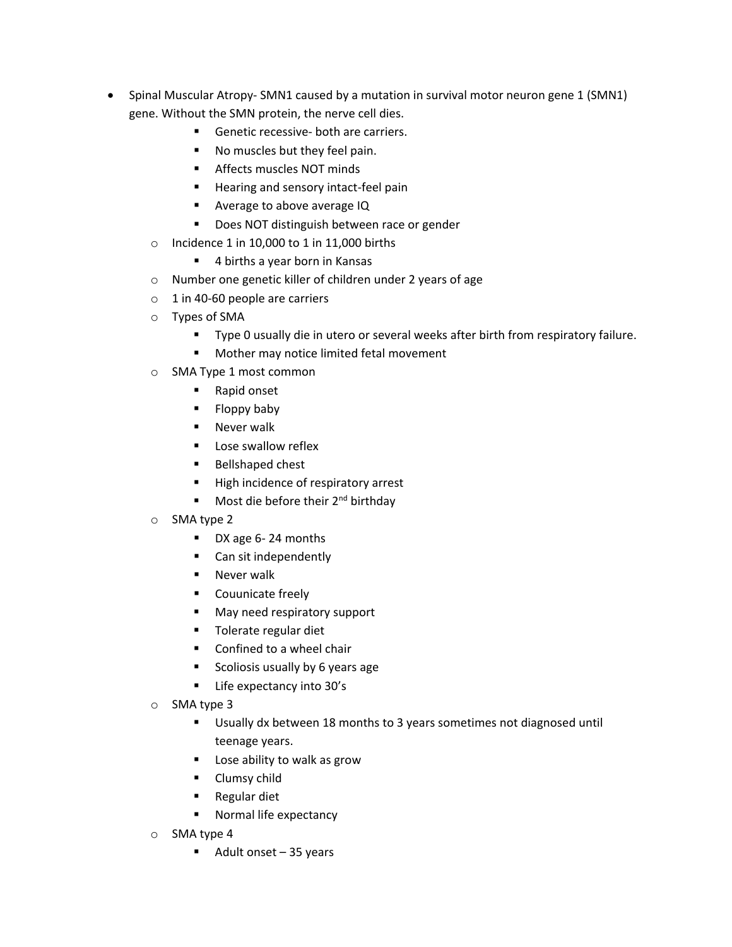- Spinal Muscular Atropy- SMN1 caused by a mutation in survival motor neuron gene 1 (SMN1) gene. Without the SMN protein, the nerve cell dies.
	- Genetic recessive- both are carriers.
	- No muscles but they feel pain.
	- **Affects muscles NOT minds**
	- **Hearing and sensory intact-feel pain**
	- **Average to above average IQ**
	- Does NOT distinguish between race or gender
	- o Incidence 1 in 10,000 to 1 in 11,000 births
		- 4 births a year born in Kansas
	- o Number one genetic killer of children under 2 years of age
	- $\circ$  1 in 40-60 people are carriers
	- o Types of SMA
		- Type 0 usually die in utero or several weeks after birth from respiratory failure.
		- **Mother may notice limited fetal movement**
	- o SMA Type 1 most common
		- Rapid onset
		- Floppy baby
		- **Never walk**
		- **Lose swallow reflex**
		- **Bellshaped chest**
		- High incidence of respiratory arrest
		- Most die before their  $2^{nd}$  birthday
	- o SMA type 2
		- DX age 6-24 months
		- Can sit independently
		- **Never walk**
		- **Couunicate freely**
		- **May need respiratory support**
		- **Tolerate regular diet**
		- Confined to a wheel chair
		- **Scoliosis usually by 6 years age**
		- **Life expectancy into 30's**
	- o SMA type 3
		- Usually dx between 18 months to 3 years sometimes not diagnosed until teenage years.
		- Lose ability to walk as grow
		- **Clumsy child**
		- **Regular diet**
		- **Normal life expectancy**
	- o SMA type 4
		- $\blacksquare$  Adult onset 35 years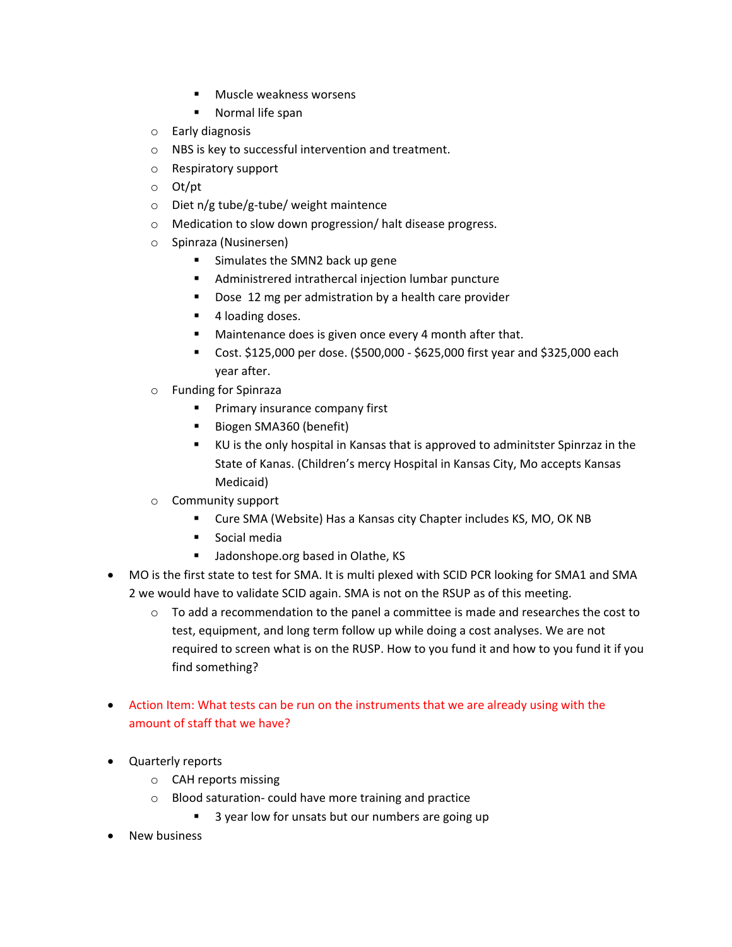- **Muscle weakness worsens**
- Normal life span
- o Early diagnosis
- o NBS is key to successful intervention and treatment.
- o Respiratory support
- o Ot/pt
- o Diet n/g tube/g-tube/ weight maintence
- o Medication to slow down progression/ halt disease progress.
- o Spinraza (Nusinersen)
	- Simulates the SMN2 back up gene
	- Administrered intrathercal injection lumbar puncture
	- Dose 12 mg per admistration by a health care provider
	- 4 loading doses.
	- Maintenance does is given once every 4 month after that.
	- Cost. \$125,000 per dose. (\$500,000 \$625,000 first year and \$325,000 each year after.
- o Funding for Spinraza
	- **Primary insurance company first**
	- Biogen SMA360 (benefit)
	- KU is the only hospital in Kansas that is approved to adminitster Spinrzaz in the State of Kanas. (Children's mercy Hospital in Kansas City, Mo accepts Kansas Medicaid)
- o Community support
	- Cure SMA (Website) Has a Kansas city Chapter includes KS, MO, OK NB
	- Social media
	- Jadonshope.org based in Olathe, KS
- MO is the first state to test for SMA. It is multi plexed with SCID PCR looking for SMA1 and SMA 2 we would have to validate SCID again. SMA is not on the RSUP as of this meeting.
	- $\circ$  To add a recommendation to the panel a committee is made and researches the cost to test, equipment, and long term follow up while doing a cost analyses. We are not required to screen what is on the RUSP. How to you fund it and how to you fund it if you find something?
- Action Item: What tests can be run on the instruments that we are already using with the amount of staff that we have?
- Quarterly reports
	- o CAH reports missing
	- o Blood saturation- could have more training and practice
		- 3 year low for unsats but our numbers are going up
- New business